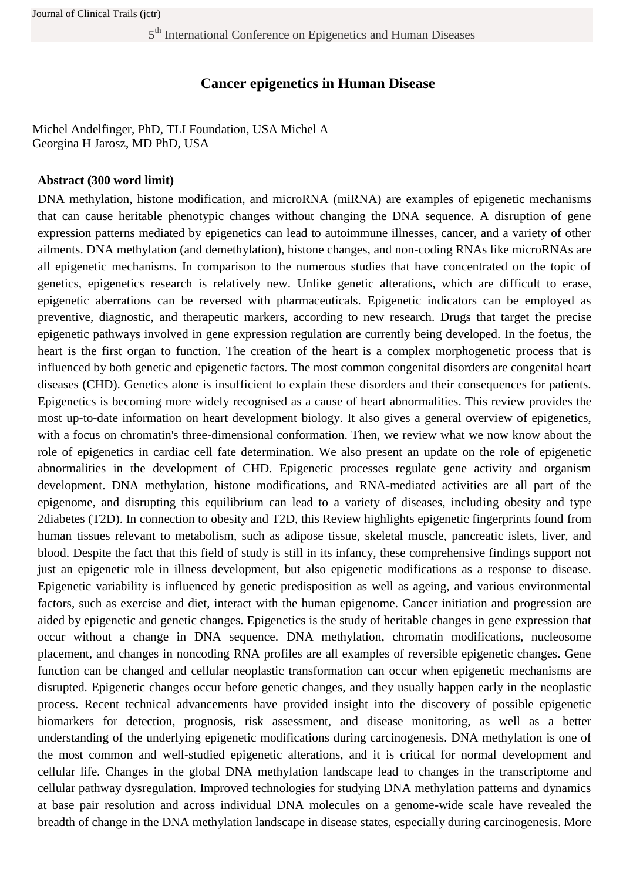# **Cancer epigenetics in Human Disease**

Michel Andelfinger, PhD, TLI Foundation, USA Michel A Georgina H Jarosz, MD PhD, USA

### **Abstract (300 word limit)**

DNA methylation, histone modification, and microRNA (miRNA) are examples of epigenetic mechanisms that can cause heritable phenotypic changes without changing the DNA sequence. A disruption of gene expression patterns mediated by epigenetics can lead to autoimmune illnesses, cancer, and a variety of other ailments. DNA methylation (and demethylation), histone changes, and non-coding RNAs like microRNAs are all epigenetic mechanisms. In comparison to the numerous studies that have concentrated on the topic of genetics, epigenetics research is relatively new. Unlike genetic alterations, which are difficult to erase, epigenetic aberrations can be reversed with pharmaceuticals. Epigenetic indicators can be employed as preventive, diagnostic, and therapeutic markers, according to new research. Drugs that target the precise epigenetic pathways involved in gene expression regulation are currently being developed. In the foetus, the heart is the first organ to function. The creation of the heart is a complex morphogenetic process that is influenced by both genetic and epigenetic factors. The most common congenital disorders are congenital heart diseases (CHD). Genetics alone is insufficient to explain these disorders and their consequences for patients. Epigenetics is becoming more widely recognised as a cause of heart abnormalities. This review provides the most up-to-date information on heart development biology. It also gives a general overview of epigenetics, with a focus on chromatin's three-dimensional conformation. Then, we review what we now know about the role of epigenetics in cardiac cell fate determination. We also present an update on the role of epigenetic abnormalities in the development of CHD. Epigenetic processes regulate gene activity and organism development. DNA methylation, histone modifications, and RNA-mediated activities are all part of the epigenome, and disrupting this equilibrium can lead to a variety of diseases, including obesity and type 2diabetes (T2D). In connection to obesity and T2D, this Review highlights epigenetic fingerprints found from human tissues relevant to metabolism, such as adipose tissue, skeletal muscle, pancreatic islets, liver, and blood. Despite the fact that this field of study is still in its infancy, these comprehensive findings support not just an epigenetic role in illness development, but also epigenetic modifications as a response to disease. Epigenetic variability is influenced by genetic predisposition as well as ageing, and various environmental factors, such as exercise and diet, interact with the human epigenome. Cancer initiation and progression are aided by epigenetic and genetic changes. Epigenetics is the study of heritable changes in gene expression that occur without a change in DNA sequence. DNA methylation, chromatin modifications, nucleosome placement, and changes in noncoding RNA profiles are all examples of reversible epigenetic changes. Gene function can be changed and cellular neoplastic transformation can occur when epigenetic mechanisms are disrupted. Epigenetic changes occur before genetic changes, and they usually happen early in the neoplastic process. Recent technical advancements have provided insight into the discovery of possible epigenetic biomarkers for detection, prognosis, risk assessment, and disease monitoring, as well as a better understanding of the underlying epigenetic modifications during carcinogenesis. DNA methylation is one of the most common and well-studied epigenetic alterations, and it is critical for normal development and cellular life. Changes in the global DNA methylation landscape lead to changes in the transcriptome and cellular pathway dysregulation. Improved technologies for studying DNA methylation patterns and dynamics at base pair resolution and across individual DNA molecules on a genome-wide scale have revealed the breadth of change in the DNA methylation landscape in disease states, especially during carcinogenesis. More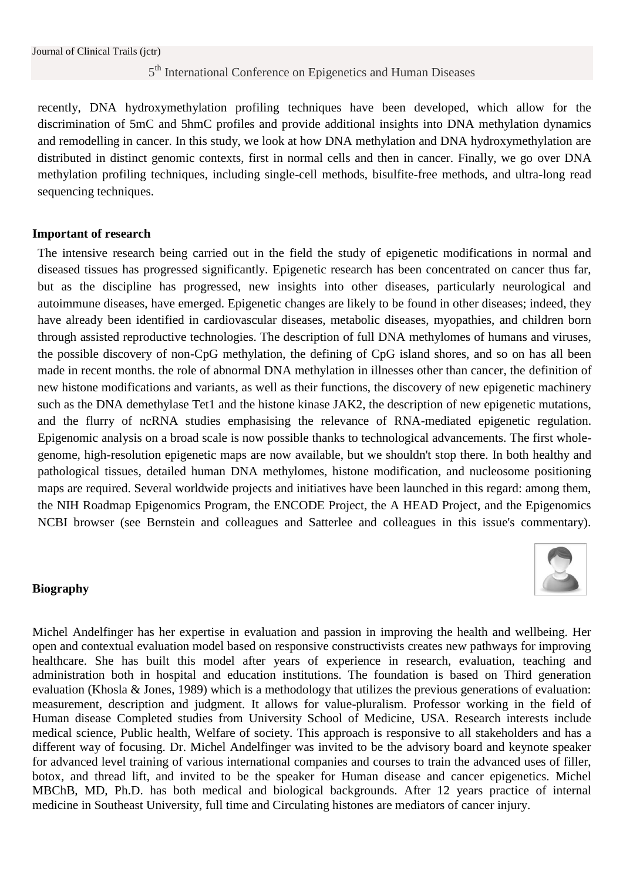recently, DNA hydroxymethylation profiling techniques have been developed, which allow for the discrimination of 5mC and 5hmC profiles and provide additional insights into DNA methylation dynamics and remodelling in cancer. In this study, we look at how DNA methylation and DNA hydroxymethylation are distributed in distinct genomic contexts, first in normal cells and then in cancer. Finally, we go over DNA methylation profiling techniques, including single-cell methods, bisulfite-free methods, and ultra-long read sequencing techniques.

#### **Important of research**

The intensive research being carried out in the field the study of epigenetic modifications in normal and diseased tissues has progressed significantly. Epigenetic research has been concentrated on cancer thus far, but as the discipline has progressed, new insights into other diseases, particularly neurological and autoimmune diseases, have emerged. Epigenetic changes are likely to be found in other diseases; indeed, they have already been identified in cardiovascular diseases, metabolic diseases, myopathies, and children born through assisted reproductive technologies. The description of full DNA methylomes of humans and viruses, the possible discovery of non-CpG methylation, the defining of CpG island shores, and so on has all been made in recent months. the role of abnormal DNA methylation in illnesses other than cancer, the definition of new histone modifications and variants, as well as their functions, the discovery of new epigenetic machinery such as the DNA demethylase Tet1 and the histone kinase JAK2, the description of new epigenetic mutations, and the flurry of ncRNA studies emphasising the relevance of RNA-mediated epigenetic regulation. Epigenomic analysis on a broad scale is now possible thanks to technological advancements. The first wholegenome, high-resolution epigenetic maps are now available, but we shouldn't stop there. In both healthy and pathological tissues, detailed human DNA methylomes, histone modification, and nucleosome positioning maps are required. Several worldwide projects and initiatives have been launched in this regard: among them, the NIH Roadmap Epigenomics Program, the ENCODE Project, the A HEAD Project, and the Epigenomics NCBI browser (see Bernstein and colleagues and Satterlee and colleagues in this issue's commentary).

### **Biography**



Michel Andelfinger has her expertise in evaluation and passion in improving the health and wellbeing. Her open and contextual evaluation model based on responsive constructivists creates new pathways for improving healthcare. She has built this model after years of experience in research, evaluation, teaching and administration both in hospital and education institutions. The foundation is based on Third generation evaluation (Khosla & Jones, 1989) which is a methodology that utilizes the previous generations of evaluation: measurement, description and judgment. It allows for value-pluralism. Professor working in the field of Human disease Completed studies from University School of Medicine, USA. Research interests include medical science, Public health, Welfare of society. This approach is responsive to all stakeholders and has a different way of focusing. Dr. Michel Andelfinger was invited to be the advisory board and keynote speaker for advanced level training of various international companies and courses to train the advanced uses of filler, botox, and thread lift, and invited to be the speaker for Human disease and cancer epigenetics. Michel MBChB, MD, Ph.D. has both medical and biological backgrounds. After 12 years practice of internal medicine in Southeast University, full time and Circulating histones are mediators of cancer injury.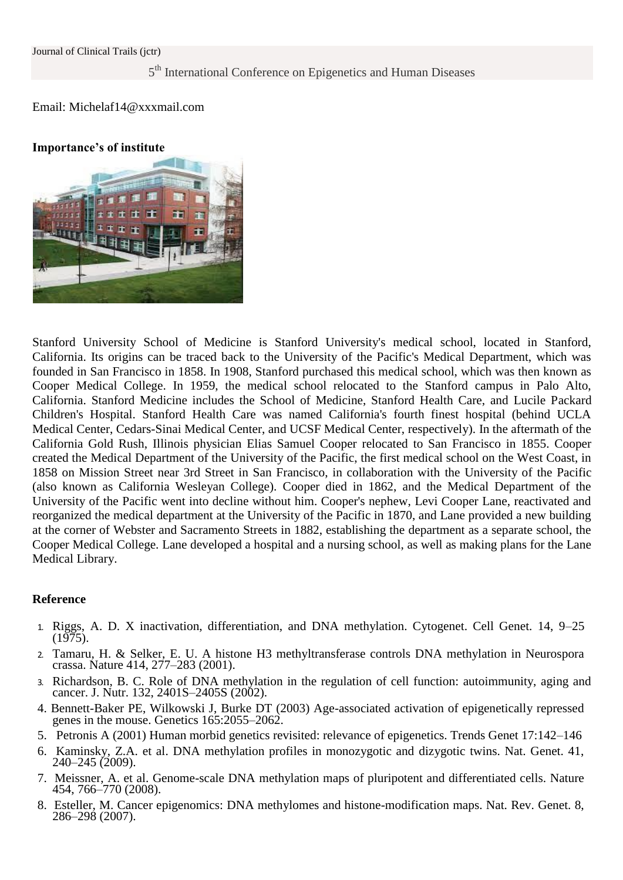#### Email: Michelaf14@xxxmail.com

#### **Importance's of institute**



Stanford University School of Medicine is Stanford University's medical school, located in Stanford, California. Its origins can be traced back to the University of the Pacific's Medical Department, which was founded in San Francisco in 1858. In 1908, Stanford purchased this medical school, which was then known as Cooper Medical College. In 1959, the medical school relocated to the Stanford campus in Palo Alto, California. Stanford Medicine includes the School of Medicine, Stanford Health Care, and Lucile Packard Children's Hospital. Stanford Health Care was named California's fourth finest hospital (behind UCLA Medical Center, Cedars-Sinai Medical Center, and UCSF Medical Center, respectively). In the aftermath of the California Gold Rush, Illinois physician Elias Samuel Cooper relocated to San Francisco in 1855. Cooper created the Medical Department of the University of the Pacific, the first medical school on the West Coast, in 1858 on Mission Street near 3rd Street in San Francisco, in collaboration with the University of the Pacific (also known as California Wesleyan College). Cooper died in 1862, and the Medical Department of the University of the Pacific went into decline without him. Cooper's nephew, Levi Cooper Lane, reactivated and reorganized the medical department at the University of the Pacific in 1870, and Lane provided a new building at the corner of Webster and Sacramento Streets in 1882, establishing the department as a separate school, the Cooper Medical College. Lane developed a hospital and a nursing school, as well as making plans for the Lane Medical Library.

### **Reference**

- 1. Riggs, A. D. X inactivation, differentiation, and DNA methylation. Cytogenet. Cell Genet. 14, 9–25  $(1975)$ .
- 2. Tamaru, H. & Selker, E. U. A histone H3 methyltransferase controls DNA methylation in Neurospora crassa. Nature 414, 277–283 (2001).
- 3. Richardson, B. C. Role of DNA methylation in the regulation of cell function: autoimmunity, aging and cancer. J. Nutr. 132, 2401S–2405S (2002).
- 4. Bennett-Baker PE, Wilkowski J, Burke DT (2003) Age-associated activation of epigenetically repressed genes in the mouse. Genetics 165:2055–2062.
- 5. Petronis A (2001) Human morbid genetics revisited: relevance of epigenetics. Trends Genet 17:142–146
- 6. Kaminsky, Z.A. et al. DNA methylation profiles in monozygotic and dizygotic twins. Nat. Genet. 41, 240–245 (2009).
- 7. Meissner, A. et al. Genome-scale DNA methylation maps of pluripotent and differentiated cells. Nature 454, 766–770 (2008).
- 8. Esteller, M. Cancer epigenomics: DNA methylomes and histone-modification maps. Nat. Rev. Genet. 8, 286–298 (2007).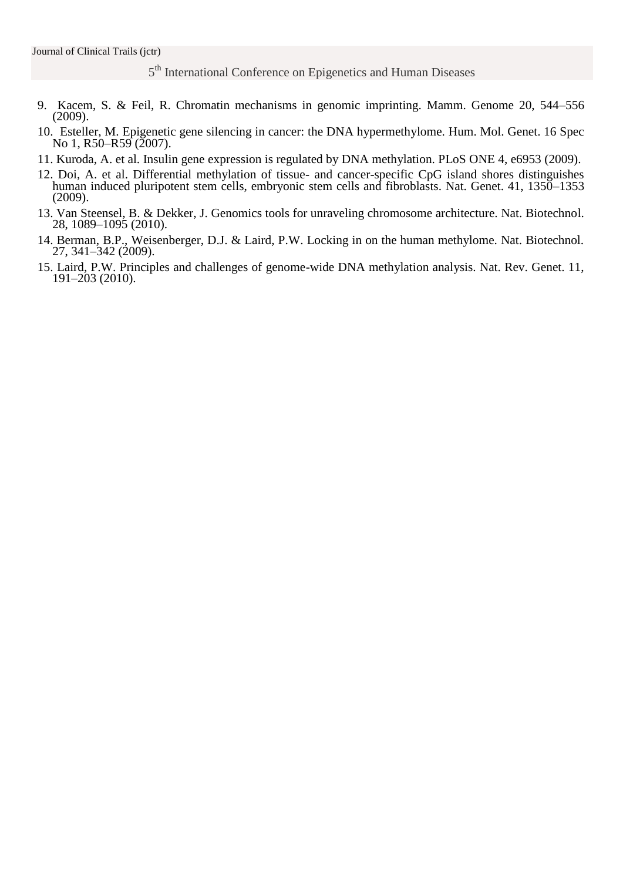- 9. Kacem, S. & Feil, R. Chromatin mechanisms in genomic imprinting. Mamm. Genome 20, 544–556 (2009).
- 10. Esteller, M. Epigenetic gene silencing in cancer: the DNA hypermethylome. Hum. Mol. Genet. 16 Spec No 1, R50–R59 (2007).
- 11. Kuroda, A. et al. Insulin gene expression is regulated by DNA methylation. PLoS ONE 4, e6953 (2009).
- 12. Doi, A. et al. Differential methylation of tissue- and cancer-specific CpG island shores distinguishes human induced pluripotent stem cells, embryonic stem cells and fibroblasts. Nat. Genet. 41, 1350–1353 (2009).
- 13. Van Steensel, B. & Dekker, J. Genomics tools for unraveling chromosome architecture. Nat. Biotechnol. 28, 1089–1095 (2010).
- 14. Berman, B.P., Weisenberger, D.J. & Laird, P.W. Locking in on the human methylome. Nat. Biotechnol. 27, 341–342 (2009).
- 15. Laird, P.W. Principles and challenges of genome-wide DNA methylation analysis. Nat. Rev. Genet. 11, 191–203 (2010).